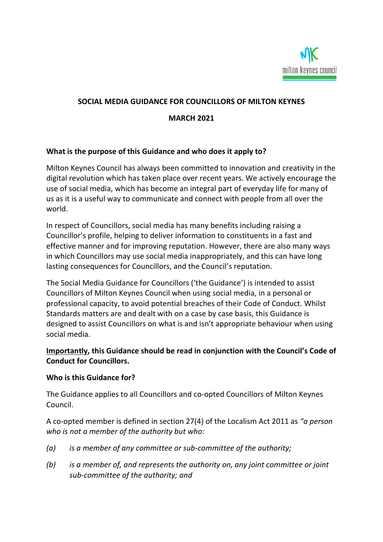

## **SOCIAL MEDIA GUIDANCE FOR COUNCILLORS OF MILTON KEYNES**

#### **MARCH 2021**

#### **What is the purpose of this Guidance and who does it apply to?**

Milton Keynes Council has always been committed to innovation and creativity in the digital revolution which has taken place over recent years. We actively encourage the use of social media, which has become an integral part of everyday life for many of us as it is a useful way to communicate and connect with people from all over the world.

In respect of Councillors, social media has many benefits including raising a Councillor's profile, helping to deliver information to constituents in a fast and effective manner and for improving reputation. However, there are also many ways in which Councillors may use social media inappropriately, and this can have long lasting consequences for Councillors, and the Council's reputation.

The Social Media Guidance for Councillors ('the Guidance') is intended to assist Councillors of Milton Keynes Council when using social media, in a personal or professional capacity, to avoid potential breaches of their Code of Conduct. Whilst Standards matters are and dealt with on a case by case basis, this Guidance is designed to assist Councillors on what is and isn't appropriate behaviour when using social media.

# **Importantly, this Guidance should be read in conjunction with the Council's Code of Conduct for Councillors.**

#### **Who is this Guidance for?**

The Guidance applies to all Councillors and co-opted Councillors of Milton Keynes Council.

A co-opted member is defined in section 27(4) of the Localism Act 2011 as *"a person who is not a member of the authority but who:*

- *(a) is a member of any committee or sub-committee of the authority;*
- *(b) is a member of, and represents the authority on, any joint committee or joint sub-committee of the authority; and*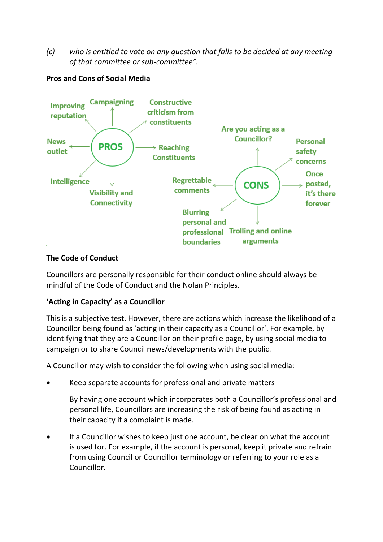*(c) who is entitled to vote on any question that falls to be decided at any meeting of that committee or sub-committee".*

# **Pros and Cons of Social Media**



## **The Code of Conduct**

Councillors are personally responsible for their conduct online should always be mindful of the Code of Conduct and the Nolan Principles.

## **'Acting in Capacity' as a Councillor**

This is a subjective test. However, there are actions which increase the likelihood of a Councillor being found as 'acting in their capacity as a Councillor'. For example, by identifying that they are a Councillor on their profile page, by using social media to campaign or to share Council news/developments with the public.

A Councillor may wish to consider the following when using social media:

• Keep separate accounts for professional and private matters

By having one account which incorporates both a Councillor's professional and personal life, Councillors are increasing the risk of being found as acting in their capacity if a complaint is made.

If a Councillor wishes to keep just one account, be clear on what the account is used for. For example, if the account is personal, keep it private and refrain from using Council or Councillor terminology or referring to your role as a Councillor.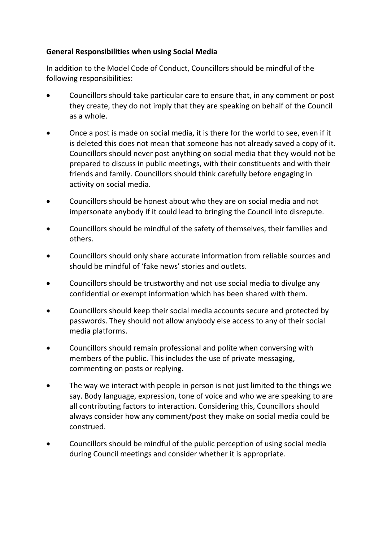## **General Responsibilities when using Social Media**

In addition to the Model Code of Conduct, Councillors should be mindful of the following responsibilities:

- Councillors should take particular care to ensure that, in any comment or post they create, they do not imply that they are speaking on behalf of the Council as a whole.
- Once a post is made on social media, it is there for the world to see, even if it is deleted this does not mean that someone has not already saved a copy of it. Councillors should never post anything on social media that they would not be prepared to discuss in public meetings, with their constituents and with their friends and family. Councillors should think carefully before engaging in activity on social media.
- Councillors should be honest about who they are on social media and not impersonate anybody if it could lead to bringing the Council into disrepute.
- Councillors should be mindful of the safety of themselves, their families and others.
- Councillors should only share accurate information from reliable sources and should be mindful of 'fake news' stories and outlets.
- Councillors should be trustworthy and not use social media to divulge any confidential or exempt information which has been shared with them.
- Councillors should keep their social media accounts secure and protected by passwords. They should not allow anybody else access to any of their social media platforms.
- Councillors should remain professional and polite when conversing with members of the public. This includes the use of private messaging, commenting on posts or replying.
- The way we interact with people in person is not just limited to the things we say. Body language, expression, tone of voice and who we are speaking to are all contributing factors to interaction. Considering this, Councillors should always consider how any comment/post they make on social media could be construed.
- Councillors should be mindful of the public perception of using social media during Council meetings and consider whether it is appropriate.